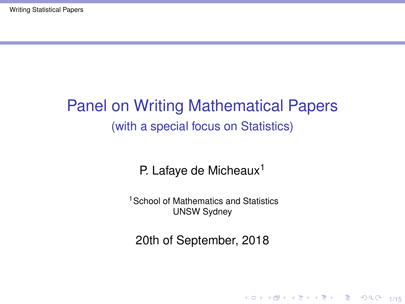# <span id="page-0-0"></span>Panel on Writing Mathematical Papers (with a special focus on Statistics)

### P. Lafaye de Micheaux<sup>1</sup>

<sup>1</sup> School of Mathematics and Statistics UNSW Sydney

20th of September, 2018

10 H 4 마 H 4 로 H 4 로 H 로 - 10 Q 4 1/15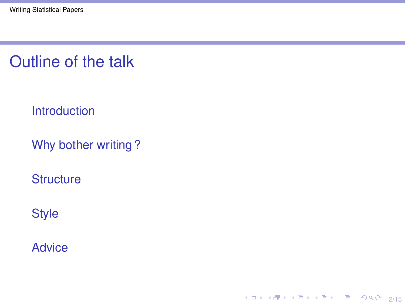Outline of the talk

**[Introduction](#page-2-0)** 

[Why bother writing ?](#page-3-0)

4 ロ → 4 @ → 4 할 → 4 할 → 1 할 → 9 Q Q + 2/15

**[Structure](#page-6-0)** 

**[Style](#page-13-0)** 

**[Advice](#page-14-0)**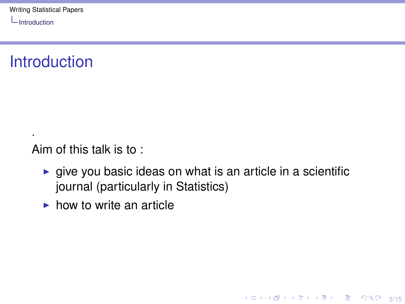<span id="page-2-0"></span>[Introduction](#page-2-0)

·

### **Introduction**

Aim of this talk is to :

 $\blacktriangleright$  give you basic ideas on what is an article in a scientific journal (particularly in Statistics)

3/15<br>3/15 3/15 → 3/15 → 3/15

 $\blacktriangleright$  how to write an article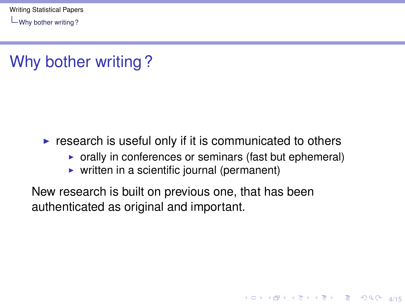<span id="page-3-0"></span>[Why bother writing ?](#page-3-0)

# Why bother writing ?

- $\triangleright$  research is useful only if it is communicated to others
	- $\triangleright$  orally in conferences or seminars (fast but ephemeral)

4 ロ ▶ 4 @ ▶ 4 로 ▶ 4 로 ▶ \_ 로 \_ 9 Q (2 4/15)

 $\triangleright$  written in a scientific journal (permanent)

New research is built on previous one, that has been authenticated as original and important.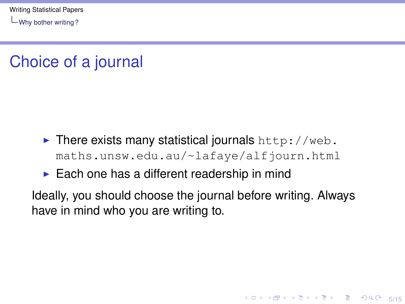[Why bother writing ?](#page-3-0)

# Choice of a journal

- $\blacktriangleright$  There exists many statistical journals [http://web.](http://web.maths.unsw.edu.au/~lafaye/alfjourn.html) [maths.unsw.edu.au/~lafaye/alfjourn.html](http://web.maths.unsw.edu.au/~lafaye/alfjourn.html)
- $\blacktriangleright$  Each one has a different readership in mind

Ideally, you should choose the journal before writing. Always have in mind who you are writing to.

10 M 12 M 12 M 12 M 2 M 9 9 9 5/15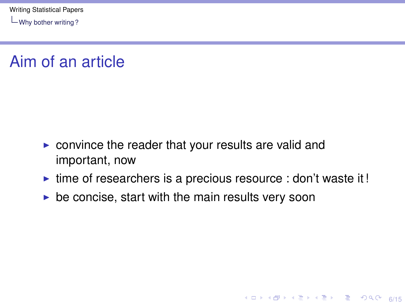[Why bother writing ?](#page-3-0)

### Aim of an article

- $\triangleright$  convince the reader that your results are valid and important, now
- $\triangleright$  time of researchers is a precious resource : don't waste it!

4 미 > 4 레 > 4 페 > 4 페 > 네 코 > 이 피 + 6/15

 $\triangleright$  be concise, start with the main results very soon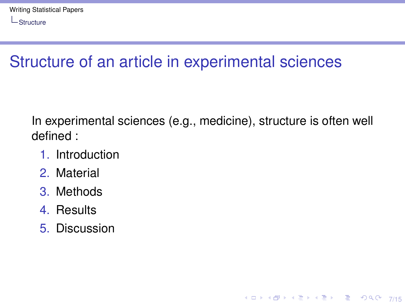# <span id="page-6-0"></span>Structure of an article in experimental sciences

In experimental sciences (e.g., medicine), structure is often well defined :

**YO X K @ X X 통 X X 통 X X 3 X 2 X 2 X 7/15** 

- 1. Introduction
- 2. Material
- 3. Methods
- 4. Results
- 5. Discussion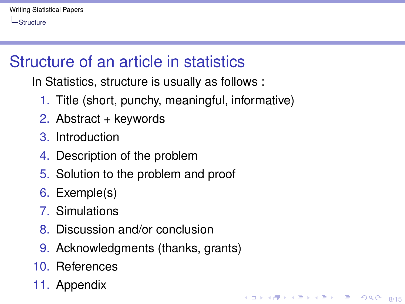# Structure of an article in statistics

In Statistics, structure is usually as follows :

- 1. Title (short, punchy, meaningful, informative)
- 2. Abstract + keywords
- 3. Introduction
- 4. Description of the problem
- 5. Solution to the problem and proof
- 6. Exemple(s)
- 7. Simulations
- 8. Discussion and/or conclusion
- 9. Acknowledgments (thanks, grants)

**K ロ ▶ K @ ▶ K 할 ▶ K 할 ▶ 기할 수 있으시 이어 있나요** 

- 10. References
- 11. Appendix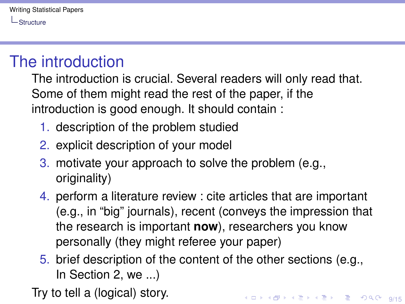### The introduction

The introduction is crucial. Several readers will only read that. Some of them might read the rest of the paper, if the introduction is good enough. It should contain :

- 1. description of the problem studied
- 2. explicit description of your model
- 3. motivate your approach to solve the problem (e.g., originality)
- 4. perform a literature review : cite articles that are important (e.g., in "big" journals), recent (conveys the impression that the research is important **now**), researchers you know personally (they might referee your paper)
- 5. brief description of the content of the other sections (e.g., In Section 2, we ...)

Try to tell a (logical) story.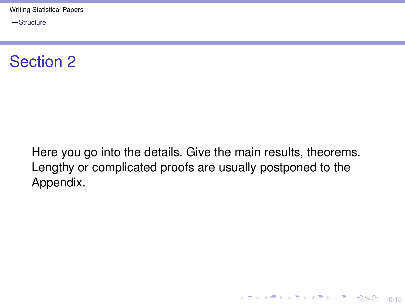

Here you go into the details. Give the main results, theorems. Lengthy or complicated proofs are usually postponed to the Appendix.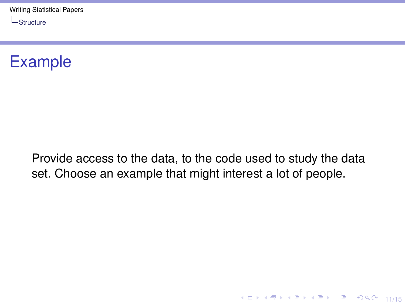

Provide access to the data, to the code used to study the data set. Choose an example that might interest a lot of people.

11/15 12 14 14 14 14 15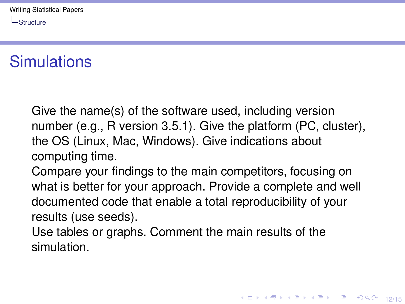# **Simulations**

Give the name(s) of the software used, including version number (e.g., R version 3.5.1). Give the platform (PC, cluster), the OS (Linux, Mac, Windows). Give indications about computing time.

Compare your findings to the main competitors, focusing on what is better for your approach. Provide a complete and well documented code that enable a total reproducibility of your results (use seeds).

Use tables or graphs. Comment the main results of the simulation.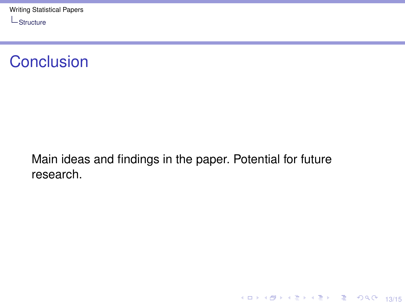### **Conclusion**

Main ideas and findings in the paper. Potential for future research.

1日 1日 1日 1日 1日 1日 1日 1日 1日 1日 1日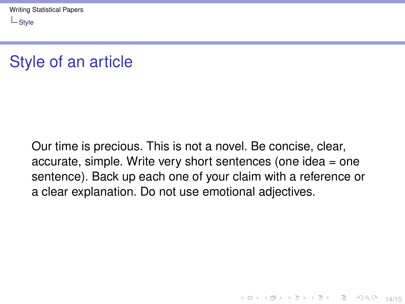### <span id="page-13-0"></span>Style of an article

Our time is precious. This is not a novel. Be concise, clear, accurate, simple. Write very short sentences (one idea = one sentence). Back up each one of your claim with a reference or a clear explanation. Do not use emotional adjectives.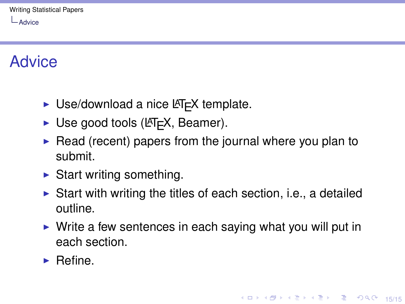<span id="page-14-0"></span>L[Advice](#page-14-0)

## Advice

- $\triangleright$  Use/download a nice LAT<sub>E</sub>X template.
- $\triangleright$  Use good tools (LAT<sub>E</sub>X, Beamer).
- $\triangleright$  Read (recent) papers from the journal where you plan to submit.
- $\triangleright$  Start writing something.
- $\triangleright$  Start with writing the titles of each section, i.e., a detailed outline.
- $\triangleright$  Write a few sentences in each saying what you will put in each section.
- $\blacktriangleright$  Refine.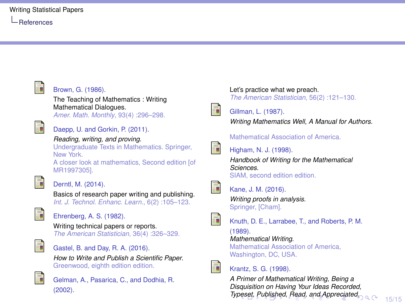<span id="page-15-0"></span>

### Brown, G. (1986).

The Teaching of Mathematics : Writing Mathematical Dialogues.

*Amer. Math. Monthly*, 93(4) :296–298.



#### Daepp, U. and Gorkin, P. (2011).

#### *Reading, writing, and proving*.

Undergraduate Texts in Mathematics. Springer, New York.

A closer look at mathematics, Second edition [of MR1997305].



#### Derntl, M. (2014).

Basics of research paper writing and publishing. *Int. J. Technol. Enhanc. Learn.*, 6(2) :105–123.



Ehrenberg, A. S. (1982).

Writing technical papers or reports. *The American Statistician*, 36(4) :326–329.



Gastel, B. and Day, R. A. (2016).

*How to Write and Publish a Scientific Paper*. Greenwood, eighth edition edition.



Gelman, A., Pasarica, C., and Dodhia, R. (2002).

Let's practice what we preach. *The American Statistician*, 56(2) :121–130.



#### Gillman, L. (1987).

*Writing Mathematics Well, A Manual for Authors*.

Mathematical Association of America.



Higham, N. J. (1998).

*Handbook of Writing for the Mathematical Sciences*. SIAM, second edition edition.

譶

Kane, J. M. (2016).

*Writing proofs in analysis*. Springer, [Cham].



F

Knuth, D. E., Larrabee, T., and Roberts, P. M.

(1989). *Mathematical Writing*.

Mathematical Association of America, Washington, DC, USA.

Krantz, S. G. (1998).

*A Primer of Mathematical Writing, Being a Disquisition on Having Your Ideas Recorded, Ty[pes](#page-14-0)et[, P](#page-16-0)[ub](#page-13-0)[lish](#page-14-0)[ed](#page-15-0)[,](#page-13-0) [Rea](#page-14-0)[d,](#page-15-0) [an](#page-13-0)[d A](#page-14-0)[pp](#page-15-0)[rec](#page-0-0)[iated](#page-16-0)*.